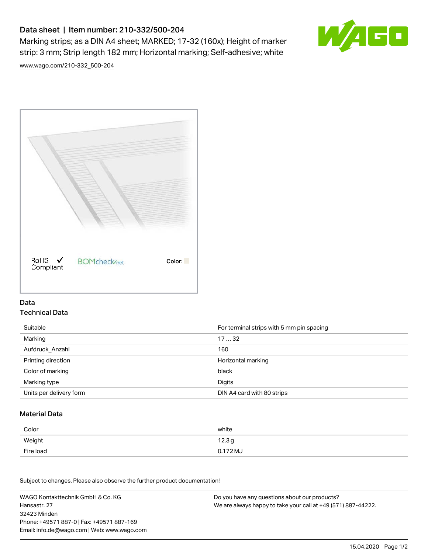# Data sheet | Item number: 210-332/500-204

Marking strips; as a DIN A4 sheet; MARKED; 17-32 (160x); Height of marker strip: 3 mm; Strip length 182 mm; Horizontal marking; Self-adhesive; white



[www.wago.com/210-332\\_500-204](http://www.wago.com/210-332_500-204)



### Data Technical Data

| Suitable                | For terminal strips with 5 mm pin spacing |
|-------------------------|-------------------------------------------|
| Marking                 | 1732                                      |
| Aufdruck Anzahl         | 160                                       |
| Printing direction      | Horizontal marking                        |
| Color of marking        | black                                     |
| Marking type            | Digits                                    |
| Units per delivery form | DIN A4 card with 80 strips                |

#### Material Data

| Color     | white                       |
|-----------|-----------------------------|
| Weight    | 12.3 <sub>g</sub>           |
| Fire load | $0.172\,\mathrm{M}_{\odot}$ |

Subject to changes. Please also observe the further product documentation!

WAGO Kontakttechnik GmbH & Co. KG Hansastr. 27 32423 Minden Phone: +49571 887-0 | Fax: +49571 887-169 Email: info.de@wago.com | Web: www.wago.com Do you have any questions about our products? We are always happy to take your call at +49 (571) 887-44222.